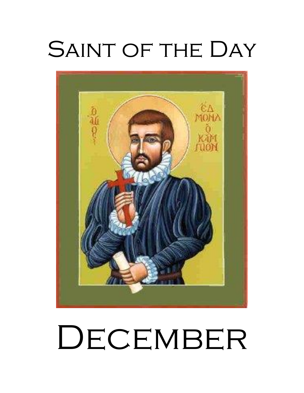# SAINT OF THE DAY



# DECEMBER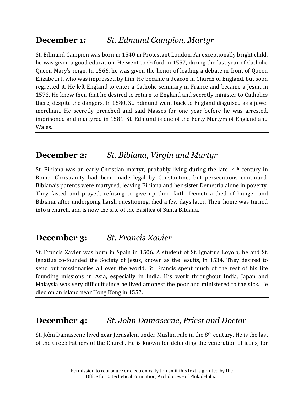# **December 1:** *St. Edmund Campion, Martyr*

St. Edmund Campion was born in 1540 in Protestant London. An exceptionally bright child, he was given a good education. He went to Oxford in 1557, during the last year of Catholic Queen Mary's reign. In 1566, he was given the honor of leading a debate in front of Queen Elizabeth I, who was impressed by him. He became a deacon in Church of England, but soon regretted it. He left England to enter a Catholic seminary in France and became a Jesuit in 1573. He knew then that he desired to return to England and secretly minister to Catholics there, despite the dangers. In 1580, St. Edmund went back to England disguised as a jewel merchant. He secretly preached and said Masses for one year before he was arrested, imprisoned and martyred in 1581. St. Edmund is one of the Forty Martyrs of England and Wales.

# **December 2:** *St. Bibiana, Virgin and Martyr*

St. Bibiana was an early Christian martyr, probably living during the late 4th century in Rome. Christianity had been made legal by Constantine, but persecutions continued. Bibiana's parents were martyred, leaving Bibiana and her sister Demetria alone in poverty. They fasted and prayed, refusing to give up their faith. Demetria died of hunger and Bibiana, after undergoing harsh questioning, died a few days later. Their home was turned into a church, and is now the site of the Basilica of Santa Bibiana.

# **December 3:** *St. Francis Xavier*

St. Francis Xavier was born in Spain in 1506. A student of St. Ignatius Loyola, he and St. Ignatius co-founded the Society of Jesus, known as the Jesuits, in 1534. They desired to send out missionaries all over the world. St. Francis spent much of the rest of his life founding missions in Asia, especially in India. His work throughout India, Japan and Malaysia was very difficult since he lived amongst the poor and ministered to the sick. He died on an island near Hong Kong in 1552.

# **December 4:** *St. John Damascene, Priest and Doctor*

St. John Damascene lived near Jerusalem under Muslim rule in the 8th century. He is the last of the Greek Fathers of the Church. He is known for defending the veneration of icons, for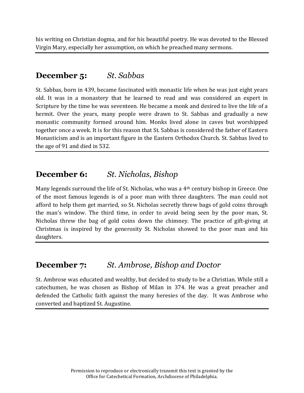his writing on Christian dogma, and for his beautiful poetry. He was devoted to the Blessed Virgin Mary, especially her assumption, on which he preached many sermons.

#### **December 5:** *St. Sabbas*

St. Sabbas, born in 439, became fascinated with monastic life when he was just eight years old. It was in a monastery that he learned to read and was considered an expert in Scripture by the time he was seventeen. He became a monk and desired to live the life of a hermit. Over the years, many people were drawn to St. Sabbas and gradually a new monastic community formed around him. Monks lived alone in caves but worshipped together once a week. It is for this reason that St. Sabbas is considered the father of Eastern Monasticism and is an important figure in the Eastern Orthodox Church. St. Sabbas lived to the age of 91 and died in 532.

# **December 6:** *St. Nicholas, Bishop*

Many legends surround the life of St. Nicholas, who was a 4th century bishop in Greece. One of the most famous legends is of a poor man with three daughters. The man could not afford to help them get married, so St. Nicholas secretly threw bags of gold coins through the man's window. The third time, in order to avoid being seen by the poor man, St. Nicholas threw the bag of gold coins down the chimney. The practice of gift-giving at Christmas is inspired by the generosity St. Nicholas showed to the poor man and his daughters.

# **December 7:** *St. Ambrose, Bishop and Doctor*

St. Ambrose was educated and wealthy, but decided to study to be a Christian. While still a catechumen, he was chosen as Bishop of Milan in 374. He was a great preacher and defended the Catholic faith against the many heresies of the day. It was Ambrose who converted and baptized St. Augustine.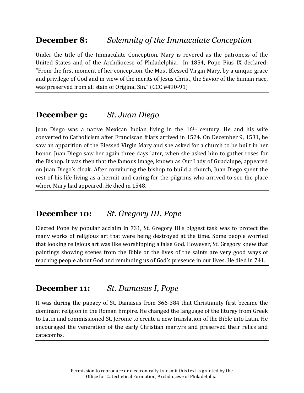# **December 8:** *Solemnity of the Immaculate Conception*

Under the title of the Immaculate Conception, Mary is revered as the patroness of the United States and of the Archdiocese of Philadelphia. In 1854, Pope Pius IX declared: "From the first moment of her conception, the Most Blessed Virgin Mary, by a unique grace and privilege of God and in view of the merits of Jesus Christ, the Savior of the human race, was preserved from all stain of Original Sin." (CCC #490-91)

# **December 9:** *St. Juan Diego*

Juan Diego was a native Mexican Indian living in the 16th century. He and his wife converted to Catholicism after Franciscan friars arrived in 1524. On December 9, 1531, he saw an apparition of the Blessed Virgin Mary and she asked for a church to be built in her honor. Juan Diego saw her again three days later, when she asked him to gather roses for the Bishop. It was then that the famous image, known as Our Lady of Guadalupe, appeared on Juan Diego's cloak. After convincing the bishop to build a church, Juan Diego spent the rest of his life living as a hermit and caring for the pilgrims who arrived to see the place where Mary had appeared. He died in 1548.

# **December 10:** *St. Gregory III, Pope*

Elected Pope by popular acclaim in 731, St. Gregory III's biggest task was to protect the many works of religious art that were being destroyed at the time. Some people worried that looking religious art was like worshipping a false God. However, St. Gregory knew that paintings showing scenes from the Bible or the lives of the saints are very good ways of teaching people about God and reminding us of God's presence in our lives. He died in 741.

# **December 11:** *St. Damasus I, Pope*

It was during the papacy of St. Damasus from 366-384 that Christianity first became the dominant religion in the Roman Empire. He changed the language of the liturgy from Greek to Latin and commissioned St. Jerome to create a new translation of the Bible into Latin. He encouraged the veneration of the early Christian martyrs and preserved their relics and catacombs.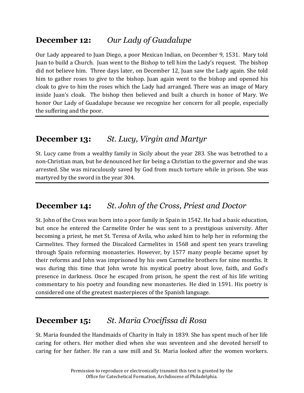# **December 12:** *Our Lady of Guadalupe*

Our Lady appeared to Juan Diego, a poor Mexican Indian, on December 9, 1531. Mary told Juan to build a Church. Juan went to the Bishop to tell him the Lady's request. The bishop did not believe him. Three days later, on December 12, Juan saw the Lady again. She told him to gather roses to give to the bishop. Juan again went to the bishop and opened his cloak to give to him the roses which the Lady had arranged. There was an image of Mary inside Juan's cloak. The bishop then believed and built a church in honor of Mary. We honor Our Lady of Guadalupe because we recognize her concern for all people, especially the suffering and the poor.

# **December 13:** *St. Lucy, Virgin and Martyr*

St. Lucy came from a wealthy family in Sicily about the year 283. She was betrothed to a non-Christian man, but he denounced her for being a Christian to the governor and she was arrested. She was miraculously saved by God from much torture while in prison. She was martyred by the sword in the year 304.

# **December 14:** *St. John of the Cross, Priest and Doctor*

St. John of the Cross was born into a poor family in Spain in 1542. He had a basic education, but once he entered the Carmelite Order he was sent to a prestigious university. After becoming a priest, he met St. Teresa of Avila, who asked him to help her in reforming the Carmelites. They formed the Discalced Carmelites in 1568 and spent ten years traveling through Spain reforming monasteries. However, by 1577 many people became upset by their reforms and John was imprisoned by his own Carmelite brothers for nine months. It was during this time that John wrote his mystical poetry about love, faith, and God's presence in darkness. Once he escaped from prison, he spent the rest of his life writing commentary to his poetry and founding new monasteries. He died in 1591. His poetry is considered one of the greatest masterpieces of the Spanish language.

# **December 15:** *St. Maria Crocifissa di Rosa*

St. Maria founded the Handmaids of Charity in Italy in 1839. She has spent much of her life caring for others. Her mother died when she was seventeen and she devoted herself to caring for her father. He ran a saw mill and St. Maria looked after the women workers.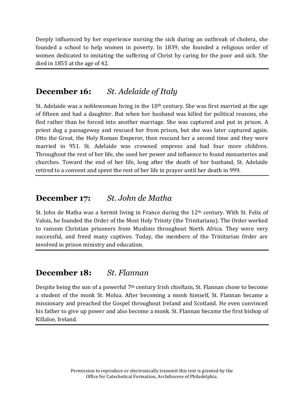Deeply influenced by her experience nursing the sick during an outbreak of cholera, she founded a school to help women in poverty. In 1839, she founded a religious order of women dedicated to imitating the suffering of Christ by caring for the poor and sick. She died in 1855 at the age of 42.

#### **December 16:** *St. Adelaide of Italy*

St. Adelaide was a noblewoman living in the  $10<sup>th</sup>$  century. She was first married at the age of fifteen and had a daughter. But when her husband was killed for political reasons, she fled rather than be forced into another marriage. She was captured and put in prison. A priest dug a passageway and rescued her from prison, but she was later captured again. Otto the Great, the Holy Roman Emperor, then rescued her a second time and they were married in 951. St. Adelaide was crowned empress and had four more children. Throughout the rest of her life, she used her power and influence to found monasteries and churches. Toward the end of her life, long after the death of her husband, St. Adelaide retired to a convent and spent the rest of her life in prayer until her death in 999.

#### **December 17:** *St. John de Matha*

St. John de Matha was a hermit living in France during the  $12<sup>th</sup>$  century. With St. Felix of Valois, he founded the Order of the Most Holy Trinity (the Trinitarians). The Order worked to ransom Christian prisoners from Muslims throughout North Africa. They were very successful, and freed many captives. Today, the members of the Trinitarian Order are involved in prison ministry and education.

#### **December 18:** *St. Flannan*

Despite being the son of a powerful  $7<sup>th</sup>$  century Irish chieftain, St. Flannan chose to become a student of the monk St. Molua. After becoming a monk himself, St. Flannan became a missionary and preached the Gospel throughout Ireland and Scotland. He even convinced his father to give up power and also become a monk. St. Flannan became the first bishop of Killaloe, Ireland.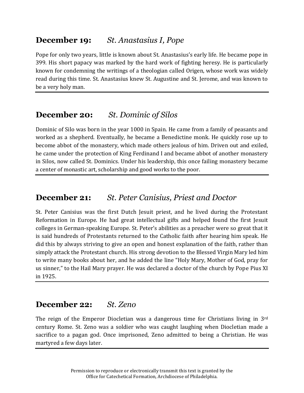# **December 19:** *St. Anastasius I, Pope*

Pope for only two years, little is known about St. Anastasius's early life. He became pope in 399. His short papacy was marked by the hard work of fighting heresy. He is particularly known for condemning the writings of a theologian called Origen, whose work was widely read during this time. St. Anastasius knew St. Augustine and St. Jerome, and was known to be a very holy man.

# **December 20:** *St. Dominic of Silos*

Dominic of Silo was born in the year 1000 in Spain. He came from a family of peasants and worked as a shepherd. Eventually, he became a Benedictine monk. He quickly rose up to become abbot of the monastery, which made others jealous of him. Driven out and exiled, he came under the protection of King Ferdinand I and became abbot of another monastery in Silos, now called St. Dominics. Under his leadership, this once failing monastery became a center of monastic art, scholarship and good works to the poor.

#### **December 21:** *St. Peter Canisius, Priest and Doctor*

St. Peter Canisius was the first Dutch Jesuit priest, and he lived during the Protestant Reformation in Europe. He had great intellectual gifts and helped found the first Jesuit colleges in German-speaking Europe. St. Peter's abilities as a preacher were so great that it is said hundreds of Protestants returned to the Catholic faith after hearing him speak. He did this by always striving to give an open and honest explanation of the faith, rather than simply attack the Protestant church. His strong devotion to the Blessed Virgin Mary led him to write many books about her, and he added the line "Holy Mary, Mother of God, pray for us sinner," to the Hail Mary prayer. He was declared a doctor of the church by Pope Pius XI in 1925.

# **December 22:** *St. Zeno*

The reign of the Emperor Diocletian was a dangerous time for Christians living in 3rd century Rome. St. Zeno was a soldier who was caught laughing when Diocletian made a sacrifice to a pagan god. Once imprisoned, Zeno admitted to being a Christian. He was martyred a few days later.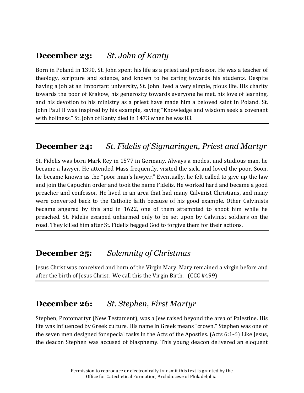# **December 23:** *St. John of Kanty*

Born in Poland in 1390, St. John spent his life as a priest and professor. He was a teacher of theology, scripture and science, and known to be caring towards his students. Despite having a job at an important university, St. John lived a very simple, pious life. His charity towards the poor of Krakow, his generosity towards everyone he met, his love of learning, and his devotion to his ministry as a priest have made him a beloved saint in Poland. St. John Paul II was inspired by his example, saying "Knowledge and wisdom seek a covenant with holiness." St. John of Kanty died in 1473 when he was 83.

#### **December 24:** *St. Fidelis of Sigmaringen, Priest and Martyr*

St. Fidelis was born Mark Rey in 1577 in Germany. Always a modest and studious man, he became a lawyer. He attended Mass frequently, visited the sick, and loved the poor. Soon, he became known as the "poor man's lawyer." Eventually, he felt called to give up the law and join the Capuchin order and took the name Fidelis. He worked hard and became a good preacher and confessor. He lived in an area that had many Calvinist Christians, and many were converted back to the Catholic faith because of his good example. Other Calvinists became angered by this and in 1622, one of them attempted to shoot him while he preached. St. Fidelis escaped unharmed only to be set upon by Calvinist soldiers on the road. They killed him after St. Fidelis begged God to forgive them for their actions.

#### **December 25:** *Solemnity of Christmas*

Jesus Christ was conceived and born of the Virgin Mary. Mary remained a virgin before and after the birth of Jesus Christ. We call this the Virgin Birth. (CCC #499)

#### **December 26:** *St. Stephen, First Martyr*

Stephen, Protomartyr (New Testament), was a Jew raised beyond the area of Palestine. His life was influenced by Greek culture. His name in Greek means "crown." Stephen was one of the seven men designed for special tasks in the Acts of the Apostles. (Acts 6:1-6) Like Jesus, the deacon Stephen was accused of blasphemy. This young deacon delivered an eloquent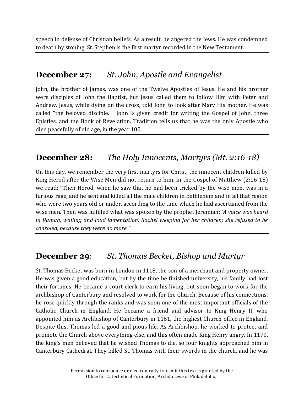speech in defense of Christian beliefs. As a result, he angered the Jews. He was condemned to death by stoning. St. Stephen is the first martyr recorded in the New Testament.

#### **December 27:** *St. John, Apostle and Evangelist*

John, the brother of James, was one of the Twelve Apostles of Jesus. He and his brother were disciples of John the Baptist, but Jesus called them to follow Him with Peter and Andrew. Jesus, while dying on the cross, told John to look after Mary His mother. He was called "the beloved disciple." John is given credit for writing the Gospel of John, three Epistles, and the Book of Revelation. Tradition tells us that he was the only Apostle who died peacefully of old age, in the year 100.

# **December 28:** *The Holy Innocents, Martyrs (Mt. 2:16-18)*

On this day, we remember the very first martyrs for Christ, the innocent children killed by King Herod after the Wise Men did not return to him. In the Gospel of Matthew (2:16-18) we read: "Then Herod, when he saw that he had been tricked by the wise men, was in a furious rage, and he sent and killed all the male children in Bethlehem and in all that region who were two years old or under, according to the time which he had ascertained from the wise men. Then was fulfilled what was spoken by the prophet Jeremiah: *'A voice was heard in Ramah, wailing and loud lamentation, Rachel weeping for her children; she refused to be consoled, because they were no more.'*"

# **December 29**: *St. Thomas Becket, Bishop and Martyr*

St. Thomas Becket was born in London in 1118, the son of a merchant and property owner. He was given a good education, but by the time he finished university, his family had lost their fortunes. He became a court clerk to earn his living, but soon began to work for the archbishop of Canterbury and resolved to work for the Church. Because of his connections, he rose quickly through the ranks and was soon one of the most important officials of the Catholic Church in England. He became a friend and advisor to King Henry II, who appointed him as Archbishop of Canterbury in 1161, the highest Church office in England. Despite this, Thomas led a good and pious life. As Archbishop, he worked to protect and promote the Church above everything else, and this often made King Henry angry. In 1170, the king's men believed that he wished Thomas to die, so four knights approached him in Canterbury Cathedral. They killed St. Thomas with their swords in the church, and he was